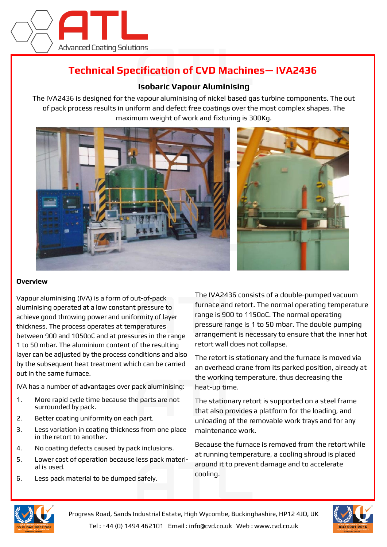

## **Technical Specification of CVD Machines— IVA2436**

## **Isobaric Vapour Aluminising**

The IVA2436 is designed for the vapour aluminising of nickel based gas turbine components. The out of pack process results in uniform and defect free coatings over the most complex shapes. The maximum weight of work and fixturing is 300Kg.



## **Overview**

Vapour aluminising (IVA) is a form of out-of-pack aluminising operated at a low constant pressure to achieve good throwing power and uniformity of layer thickness. The process operates at temperatures between 900 and 1050oC and at pressures in the range 1 to 50 mbar. The aluminium content of the resulting layer can be adjusted by the process conditions and also by the subsequent heat treatment which can be carried out in the same furnace.

IVA has a number of advantages over pack aluminising:

- 1. More rapid cycle time because the parts are not surrounded by pack.
- 2. Better coating uniformity on each part.
- 3. Less variation in coating thickness from one place in the retort to another.
- 4. No coating defects caused by pack inclusions.
- 5. Lower cost of operation because less pack material is used.
- 6. Less pack material to be dumped safely.

The IVA2436 consists of a double-pumped vacuum furnace and retort. The normal operating temperature range is 900 to 1150oC. The normal operating pressure range is 1 to 50 mbar. The double pumping arrangement is necessary to ensure that the inner hot retort wall does not collapse.

The retort is stationary and the furnace is moved via an overhead crane from its parked position, already at the working temperature, thus decreasing the heat-up time.

The stationary retort is supported on a steel frame that also provides a platform for the loading, and unloading of the removable work trays and for any maintenance work.

Because the furnace is removed from the retort while at running temperature, a cooling shroud is placed around it to prevent damage and to accelerate cooling.



Progress Road, Sands Industrial Estate, High Wycombe, Buckinghashire, HP12 4JD, UK Tel : +44 (0) 1494 462101 Email : info@cvd.co.uk Web : www.cvd.co.uk